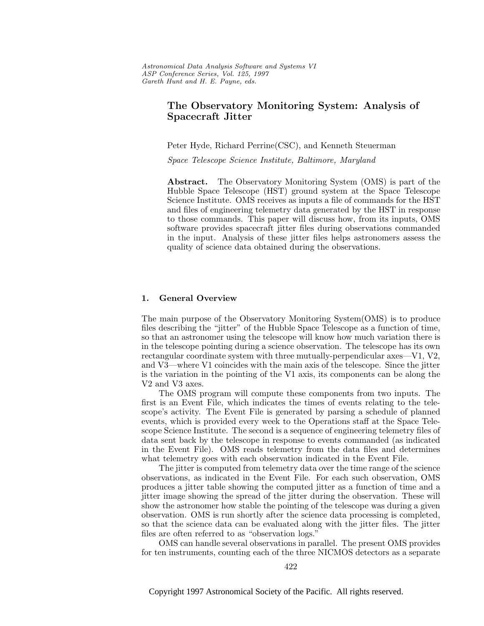# **The Observatory Monitoring System: Analysis of Spacecraft Jitter**

Peter Hyde, Richard Perrine(CSC), and Kenneth Steuerman

Space Telescope Science Institute, Baltimore, Maryland

**Abstract.** The Observatory Monitoring System (OMS) is part of the Hubble Space Telescope (HST) ground system at the Space Telescope Science Institute. OMS receives as inputs a file of commands for the HST and files of engineering telemetry data generated by the HST in response to those commands. This paper will discuss how, from its inputs, OMS software provides spacecraft jitter files during observations commanded in the input. Analysis of these jitter files helps astronomers assess the quality of science data obtained during the observations.

#### **1. General Overview**

The main purpose of the Observatory Monitoring System(OMS) is to produce files describing the "jitter" of the Hubble Space Telescope as a function of time, so that an astronomer using the telescope will know how much variation there is in the telescope pointing during a science observation. The telescope has its own rectangular coordinate system with three mutually-perpendicular axes—V1, V2, and V3—where V1 coincides with the main axis of the telescope. Since the jitter is the variation in the pointing of the V1 axis, its components can be along the V2 and V3 axes.

The OMS program will compute these components from two inputs. The first is an Event File, which indicates the times of events relating to the telescope's activity. The Event File is generated by parsing a schedule of planned events, which is provided every week to the Operations staff at the Space Telescope Science Institute. The second is a sequence of engineering telemetry files of data sent back by the telescope in response to events commanded (as indicated in the Event File). OMS reads telemetry from the data files and determines what telemetry goes with each observation indicated in the Event File.

The jitter is computed from telemetry data over the time range of the science observations, as indicated in the Event File. For each such observation, OMS produces a jitter table showing the computed jitter as a function of time and a jitter image showing the spread of the jitter during the observation. These will show the astronomer how stable the pointing of the telescope was during a given observation. OMS is run shortly after the science data processing is completed, so that the science data can be evaluated along with the jitter files. The jitter files are often referred to as "observation logs."

OMS can handle several observations in parallel. The present OMS provides for ten instruments, counting each of the three NICMOS detectors as a separate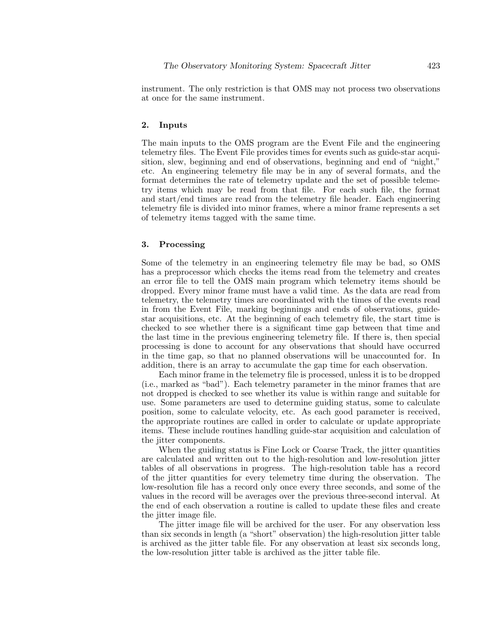instrument. The only restriction is that OMS may not process two observations at once for the same instrument.

## **2. Inputs**

The main inputs to the OMS program are the Event File and the engineering telemetry files. The Event File provides times for events such as guide-star acquisition, slew, beginning and end of observations, beginning and end of "night," etc. An engineering telemetry file may be in any of several formats, and the format determines the rate of telemetry update and the set of possible telemetry items which may be read from that file. For each such file, the format and start/end times are read from the telemetry file header. Each engineering telemetry file is divided into minor frames, where a minor frame represents a set of telemetry items tagged with the same time.

### **3. Processing**

Some of the telemetry in an engineering telemetry file may be bad, so OMS has a preprocessor which checks the items read from the telemetry and creates an error file to tell the OMS main program which telemetry items should be dropped. Every minor frame must have a valid time. As the data are read from telemetry, the telemetry times are coordinated with the times of the events read in from the Event File, marking beginnings and ends of observations, guidestar acquisitions, etc. At the beginning of each telemetry file, the start time is checked to see whether there is a significant time gap between that time and the last time in the previous engineering telemetry file. If there is, then special processing is done to account for any observations that should have occurred in the time gap, so that no planned observations will be unaccounted for. In addition, there is an array to accumulate the gap time for each observation.

Each minor frame in the telemetry file is processed, unless it is to be dropped (i.e., marked as "bad"). Each telemetry parameter in the minor frames that are not dropped is checked to see whether its value is within range and suitable for use. Some parameters are used to determine guiding status, some to calculate position, some to calculate velocity, etc. As each good parameter is received, the appropriate routines are called in order to calculate or update appropriate items. These include routines handling guide-star acquisition and calculation of the jitter components.

When the guiding status is Fine Lock or Coarse Track, the jitter quantities are calculated and written out to the high-resolution and low-resolution jitter tables of all observations in progress. The high-resolution table has a record of the jitter quantities for every telemetry time during the observation. The low-resolution file has a record only once every three seconds, and some of the values in the record will be averages over the previous three-second interval. At the end of each observation a routine is called to update these files and create the jitter image file.

The jitter image file will be archived for the user. For any observation less than six seconds in length (a "short" observation) the high-resolution jitter table is archived as the jitter table file. For any observation at least six seconds long, the low-resolution jitter table is archived as the jitter table file.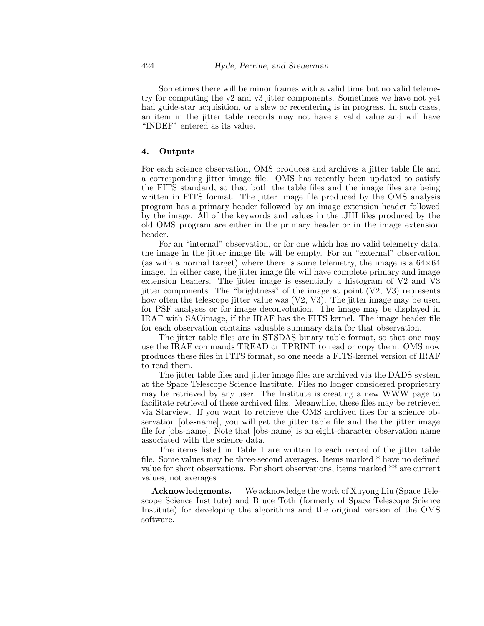Sometimes there will be minor frames with a valid time but no valid telemetry for computing the v2 and v3 jitter components. Sometimes we have not yet had guide-star acquisition, or a slew or recentering is in progress. In such cases, an item in the jitter table records may not have a valid value and will have "INDEF" entered as its value.

#### **4. Outputs**

For each science observation, OMS produces and archives a jitter table file and a corresponding jitter image file. OMS has recently been updated to satisfy the FITS standard, so that both the table files and the image files are being written in FITS format. The jitter image file produced by the OMS analysis program has a primary header followed by an image extension header followed by the image. All of the keywords and values in the .JIH files produced by the old OMS program are either in the primary header or in the image extension header.

For an "internal" observation, or for one which has no valid telemetry data, the image in the jitter image file will be empty. For an "external" observation (as with a normal target) where there is some telemetry, the image is a  $64\times64$ image. In either case, the jitter image file will have complete primary and image extension headers. The jitter image is essentially a histogram of V2 and V3 jitter components. The "brightness" of the image at point  $(V2, V3)$  represents how often the telescope jitter value was (V2, V3). The jitter image may be used for PSF analyses or for image deconvolution. The image may be displayed in IRAF with SAOimage, if the IRAF has the FITS kernel. The image header file for each observation contains valuable summary data for that observation.

The jitter table files are in STSDAS binary table format, so that one may use the IRAF commands TREAD or TPRINT to read or copy them. OMS now produces these files in FITS format, so one needs a FITS-kernel version of IRAF to read them.

The jitter table files and jitter image files are archived via the DADS system at the Space Telescope Science Institute. Files no longer considered proprietary may be retrieved by any user. The Institute is creating a new WWW page to facilitate retrieval of these archived files. Meanwhile, these files may be retrieved via Starview. If you want to retrieve the OMS archived files for a science observation [obs-name], you will get the jitter table file and the the jitter image file for [obs-name]. Note that [obs-name] is an eight-character observation name associated with the science data.

The items listed in Table 1 are written to each record of the jitter table file. Some values may be three-second averages. Items marked \* have no defined value for short observations. For short observations, items marked \*\* are current values, not averages.

**Acknowledgments.** We acknowledge the work of Xuyong Liu (Space Telescope Science Institute) and Bruce Toth (formerly of Space Telescope Science Institute) for developing the algorithms and the original version of the OMS software.